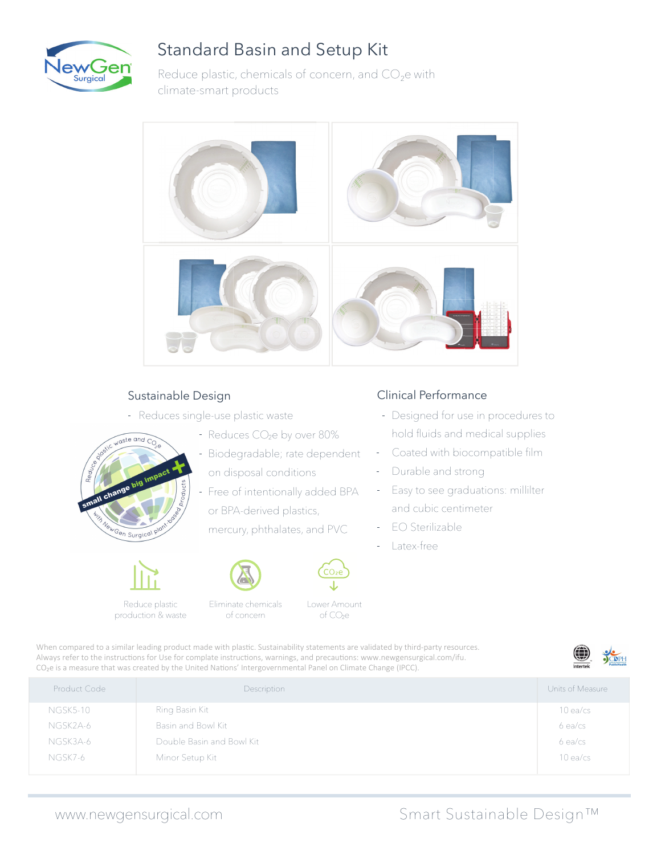

## Standard Basin and Setup Kit

Reduce plastic, chemicals of concern, and CO<sub>2</sub>e with climate-smart products



#### Sustainable Design

- Reduces single-use plastic waste
- $\sqrt{a}$ ste and  $\overline{C_{C}}$ Gen Surgical<sup>T</sup>
- Reduces CO<sub>2</sub>e by over 80%
- Biodegradable; rate dependent on disposal conditions
- Free of intentionally added BPA or BPA-derived plastics,

mercury, phthalates, and PVC



- 
- Eliminate chemicals of concern production & waste



Lower Amount of CO<sub>2</sub>e

### Clinical Performance

- Designed for use in procedures to hold fluids and medical supplies
- Coated with biocompatible film  $\sim$
- Durable and strong
- Easy to see graduations: millilter and cubic centimeter
- EO Sterilizable
- Latex-free

When compared to a similar leading product made with plastic. Sustainability statements are validated by third-party resources. Always refer to the instructions for Use for complate instructions, warnings, and precautions: www.newgensurgical.com/ifu. CO<sub>2</sub>e is a measure that was created by the United Nations' Intergovernmental Panel on Climate Change (IPCC).



| Product Code    | Description               | Units of Measure |
|-----------------|---------------------------|------------------|
| <b>NGSK5-10</b> | Ring Basin Kit            | $10$ ea/cs       |
| NGSK2A-6        | Basin and Bowl Kit        | $6$ ea/cs        |
| NGSK3A-6        | Double Basin and Bowl Kit | $6$ ea/cs        |
| NGSK7-6         | Minor Setup Kit           | $10$ ea/cs       |
|                 |                           |                  |